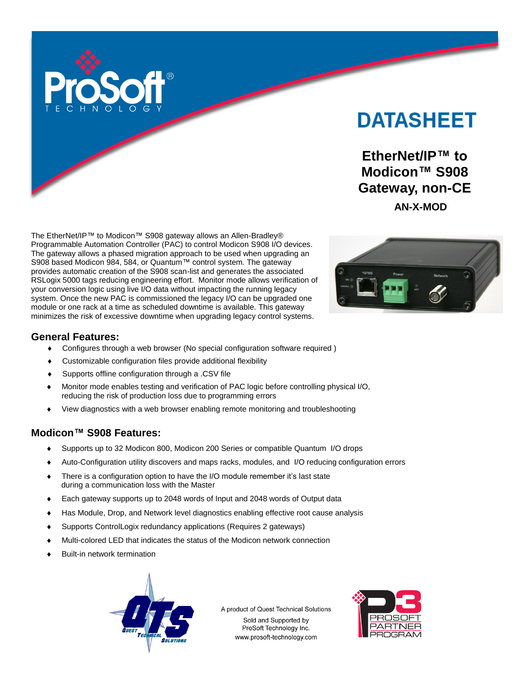

# **DATASHEET**

**EtherNet/IP™ to Modicon™ S908 Gateway, non-CE AN-X-MOD**

The EtherNet/IP™ to Modicon™ S908 gateway allows an Allen-Bradley® Programmable Automation Controller (PAC) to control Modicon S908 I/O devices. The gateway allows a phased migration approach to be used when upgrading an S908 based Modicon 984, 584, or Quantum™ control system. The gateway provides automatic creation of the S908 scan-list and generates the associated RSLogix 5000 tags reducing engineering effort. Monitor mode allows verification of your conversion logic using live I/O data without impacting the running legacy system. Once the new PAC is commissioned the legacy I/O can be upgraded one module or one rack at a time as scheduled downtime is available. This gateway minimizes the risk of excessive downtime when upgrading legacy control systems.



# **General Features:**

- Configures through a web browser (No special configuration software required )
- Customizable configuration files provide additional flexibility
- Supports offline configuration through a .CSV file
- Monitor mode enables testing and verification of PAC logic before controlling physical I/O, reducing the risk of production loss due to programming errors
- View diagnostics with a web browser enabling remote monitoring and troubleshooting

## **Modicon™ S908 Features:**

- Supports up to 32 Modicon 800, Modicon 200 Series or compatible Quantum I/O drops
- Auto-Configuration utility discovers and maps racks, modules, and I/O reducing configuration errors
- There is a configuration option to have the I/O module remember it's last state during a communication loss with the Master
- Each gateway supports up to 2048 words of Input and 2048 words of Output data
- Has Module, Drop, and Network level diagnostics enabling effective root cause analysis
- Supports ControlLogix redundancy applications (Requires 2 gateways)
- Multi-colored LED that indicates the status of the Modicon network connection
- Built-in network termination



A product of Quest Technical Solutions Sold and Supported by ProSoft Technology Inc. www.prosoft-technology.com